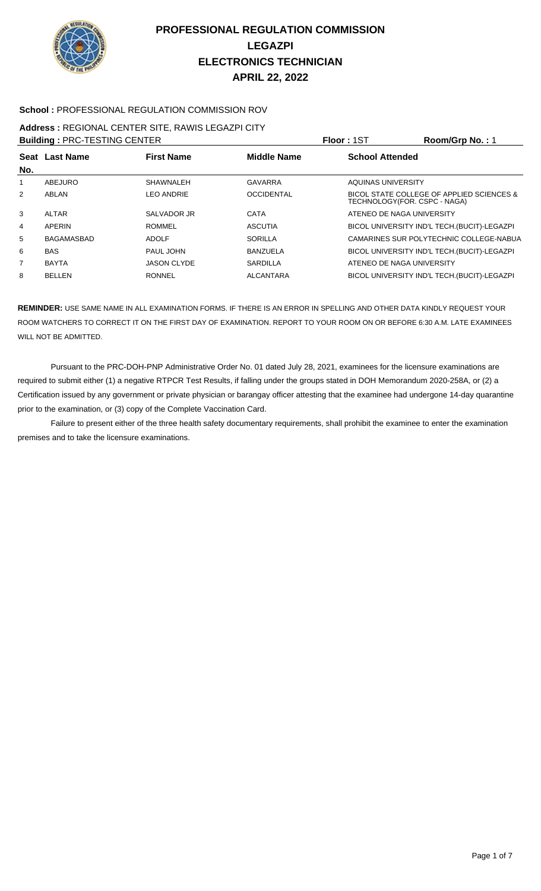

### **School :** PROFESSIONAL REGULATION COMMISSION ROV

#### **Address :** REGIONAL CENTER SITE, RAWIS LEGAZPI CITY **Building :** PRC-TESTING CENTER **Floor :** 1ST **Room/Grp No. :** 1

| <b>BUILDING : PRU-TESTING UENTER</b> |                |                    |                    | FIOOT : ISI<br><b>ROOMOTO NO.</b> . I                                     |
|--------------------------------------|----------------|--------------------|--------------------|---------------------------------------------------------------------------|
|                                      | Seat Last Name | <b>First Name</b>  | <b>Middle Name</b> | <b>School Attended</b>                                                    |
| No.                                  |                |                    |                    |                                                                           |
| 1                                    | ABEJURO        | <b>SHAWNALEH</b>   | <b>GAVARRA</b>     | AQUINAS UNIVERSITY                                                        |
| 2                                    | ABLAN          | <b>LEO ANDRIE</b>  | <b>OCCIDENTAL</b>  | BICOL STATE COLLEGE OF APPLIED SCIENCES &<br>TECHNOLOGY(FOR. CSPC - NAGA) |
| 3                                    | ALTAR          | SALVADOR JR        | CATA               | ATENEO DE NAGA UNIVERSITY                                                 |
| 4                                    | APERIN         | ROMMEL             | <b>ASCUTIA</b>     | BICOL UNIVERSITY IND'L TECH. (BUCIT)-LEGAZPI                              |
| 5                                    | BAGAMASBAD     | <b>ADOLF</b>       | SORILLA            | CAMARINES SUR POLYTECHNIC COLLEGE-NABUA                                   |
| 6                                    | <b>BAS</b>     | PAUL JOHN          | <b>BANZUELA</b>    | BICOL UNIVERSITY IND'L TECH. (BUCIT)-LEGAZPI                              |
| $\overline{7}$                       | <b>BAYTA</b>   | <b>JASON CLYDE</b> | <b>SARDILLA</b>    | ATENEO DE NAGA UNIVERSITY                                                 |
| 8                                    | <b>BELLEN</b>  | <b>RONNEL</b>      | <b>ALCANTARA</b>   | BICOL UNIVERSITY IND'L TECH. (BUCIT)-LEGAZPI                              |
|                                      |                |                    |                    |                                                                           |

**REMINDER:** USE SAME NAME IN ALL EXAMINATION FORMS. IF THERE IS AN ERROR IN SPELLING AND OTHER DATA KINDLY REQUEST YOUR ROOM WATCHERS TO CORRECT IT ON THE FIRST DAY OF EXAMINATION. REPORT TO YOUR ROOM ON OR BEFORE 6:30 A.M. LATE EXAMINEES WILL NOT BE ADMITTED.

 Pursuant to the PRC-DOH-PNP Administrative Order No. 01 dated July 28, 2021, examinees for the licensure examinations are required to submit either (1) a negative RTPCR Test Results, if falling under the groups stated in DOH Memorandum 2020-258A, or (2) a Certification issued by any government or private physician or barangay officer attesting that the examinee had undergone 14-day quarantine prior to the examination, or (3) copy of the Complete Vaccination Card.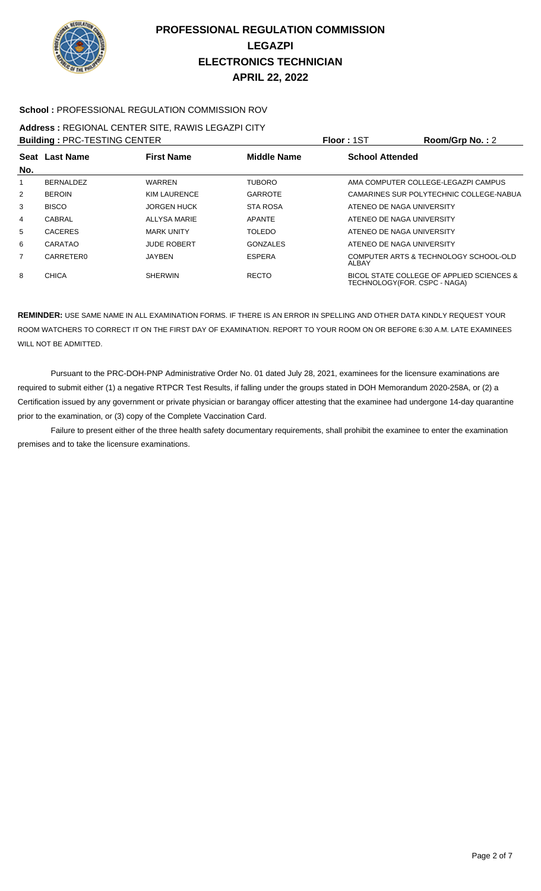

### **School :** PROFESSIONAL REGULATION COMMISSION ROV

# **Address :** REGIONAL CENTER SITE, RAWIS LEGAZPI CITY

| <b>Building: PRC-TESTING CENTER</b> |                  |                     |                    | Floor: 1ST                    | Room/Grp No.: 2                           |
|-------------------------------------|------------------|---------------------|--------------------|-------------------------------|-------------------------------------------|
| Seat<br>No.                         | <b>Last Name</b> | <b>First Name</b>   | <b>Middle Name</b> | <b>School Attended</b>        |                                           |
|                                     | <b>BERNALDEZ</b> | <b>WARREN</b>       | <b>TUBORO</b>      |                               | AMA COMPUTER COLLEGE-LEGAZPI CAMPUS       |
| $\overline{2}$                      | <b>BEROIN</b>    | <b>KIM LAURENCE</b> | <b>GARROTE</b>     |                               | CAMARINES SUR POLYTECHNIC COLLEGE-NABUA   |
| 3                                   | <b>BISCO</b>     | <b>JORGEN HUCK</b>  | <b>STA ROSA</b>    | ATENEO DE NAGA UNIVERSITY     |                                           |
| 4                                   | CABRAL           | <b>ALLYSA MARIE</b> | <b>APANTE</b>      | ATENEO DE NAGA UNIVERSITY     |                                           |
| 5                                   | <b>CACERES</b>   | <b>MARK UNITY</b>   | <b>TOLEDO</b>      | ATENEO DE NAGA UNIVERSITY     |                                           |
| 6                                   | CARATAO          | <b>JUDE ROBERT</b>  | <b>GONZALES</b>    | ATENEO DE NAGA UNIVERSITY     |                                           |
| $\overline{7}$                      | CARRETER0        | JAYBEN              | <b>ESPERA</b>      | ALBAY                         | COMPUTER ARTS & TECHNOLOGY SCHOOL-OLD     |
| 8                                   | <b>CHICA</b>     | <b>SHERWIN</b>      | <b>RECTO</b>       | TECHNOLOGY (FOR. CSPC - NAGA) | BICOL STATE COLLEGE OF APPLIED SCIENCES & |

**REMINDER:** USE SAME NAME IN ALL EXAMINATION FORMS. IF THERE IS AN ERROR IN SPELLING AND OTHER DATA KINDLY REQUEST YOUR ROOM WATCHERS TO CORRECT IT ON THE FIRST DAY OF EXAMINATION. REPORT TO YOUR ROOM ON OR BEFORE 6:30 A.M. LATE EXAMINEES WILL NOT BE ADMITTED.

 Pursuant to the PRC-DOH-PNP Administrative Order No. 01 dated July 28, 2021, examinees for the licensure examinations are required to submit either (1) a negative RTPCR Test Results, if falling under the groups stated in DOH Memorandum 2020-258A, or (2) a Certification issued by any government or private physician or barangay officer attesting that the examinee had undergone 14-day quarantine prior to the examination, or (3) copy of the Complete Vaccination Card.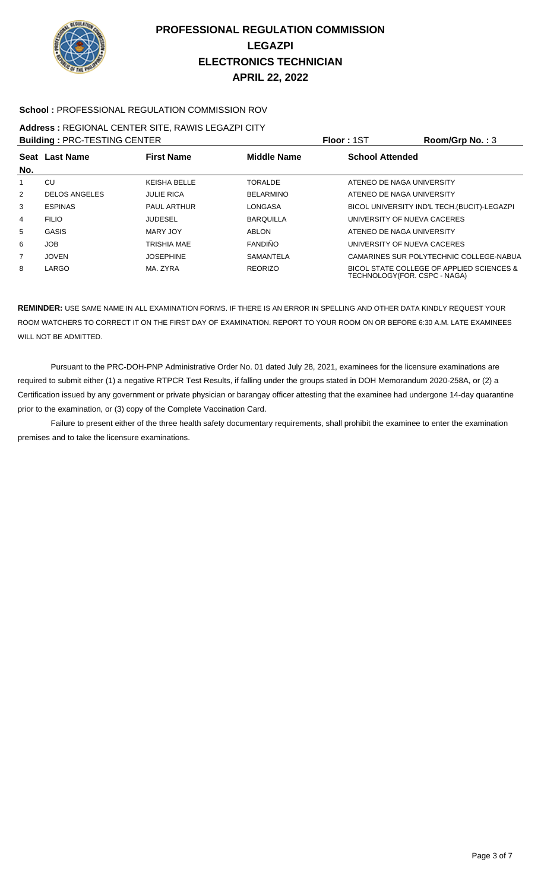

### **School :** PROFESSIONAL REGULATION COMMISSION ROV

#### **Address :** REGIONAL CENTER SITE, RAWIS LEGAZPI CITY **Building :** PRC-TESTING CENTER **Floor :** 1ST **Room/Grp No. :** 3

| <b>BUILDING: PRU-TESTING UENTER</b> |                      |                     |                  | <b>FIOOL:</b> 121<br>ROOM/Grp No.: 3                                      |
|-------------------------------------|----------------------|---------------------|------------------|---------------------------------------------------------------------------|
|                                     | Seat Last Name       | <b>First Name</b>   | Middle Name      | <b>School Attended</b>                                                    |
| No.                                 |                      |                     |                  |                                                                           |
|                                     | CU                   | <b>KEISHA BELLE</b> | <b>TORALDE</b>   | ATENEO DE NAGA UNIVERSITY                                                 |
| 2                                   | <b>DELOS ANGELES</b> | <b>JULIE RICA</b>   | <b>BELARMINO</b> | ATENEO DE NAGA UNIVERSITY                                                 |
| 3                                   | <b>ESPINAS</b>       | <b>PAUL ARTHUR</b>  | <b>LONGASA</b>   | BICOL UNIVERSITY IND'L TECH. (BUCIT)-LEGAZPI                              |
| 4                                   | <b>FILIO</b>         | <b>JUDESEL</b>      | <b>BARQUILLA</b> | UNIVERSITY OF NUEVA CACERES                                               |
| 5                                   | <b>GASIS</b>         | MARY JOY            | ABLON            | ATENEO DE NAGA UNIVERSITY                                                 |
| 6                                   | <b>JOB</b>           | TRISHIA MAE         | <b>FANDIÑO</b>   | UNIVERSITY OF NUEVA CACERES                                               |
| $\overline{7}$                      | <b>JOVEN</b>         | <b>JOSEPHINE</b>    | <b>SAMANTELA</b> | CAMARINES SUR POLYTECHNIC COLLEGE-NABUA                                   |
| 8                                   | LARGO                | MA. ZYRA            | <b>REORIZO</b>   | BICOL STATE COLLEGE OF APPLIED SCIENCES &<br>TECHNOLOGY(FOR. CSPC - NAGA) |

**REMINDER:** USE SAME NAME IN ALL EXAMINATION FORMS. IF THERE IS AN ERROR IN SPELLING AND OTHER DATA KINDLY REQUEST YOUR ROOM WATCHERS TO CORRECT IT ON THE FIRST DAY OF EXAMINATION. REPORT TO YOUR ROOM ON OR BEFORE 6:30 A.M. LATE EXAMINEES WILL NOT BE ADMITTED.

 Pursuant to the PRC-DOH-PNP Administrative Order No. 01 dated July 28, 2021, examinees for the licensure examinations are required to submit either (1) a negative RTPCR Test Results, if falling under the groups stated in DOH Memorandum 2020-258A, or (2) a Certification issued by any government or private physician or barangay officer attesting that the examinee had undergone 14-day quarantine prior to the examination, or (3) copy of the Complete Vaccination Card.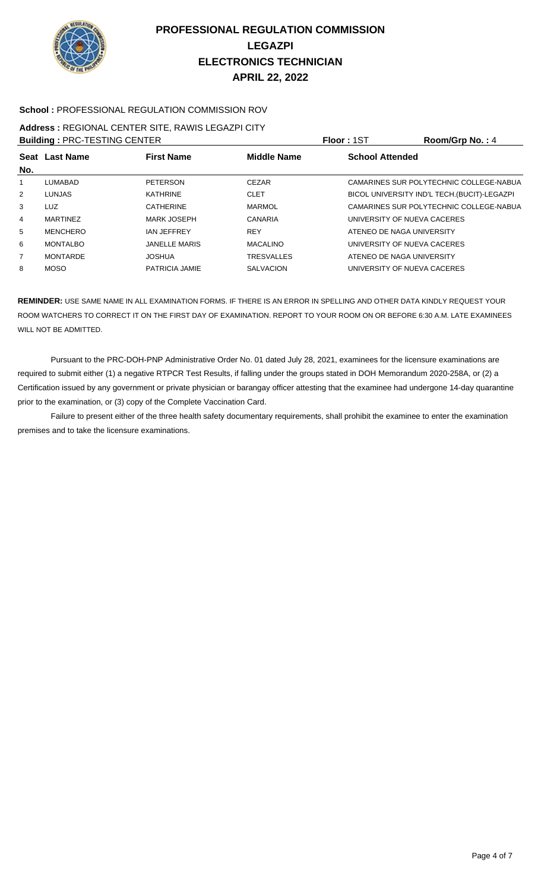

### **School :** PROFESSIONAL REGULATION COMMISSION ROV

#### **Address :** REGIONAL CENTER SITE, RAWIS LEGAZPI CITY **Building :** PRC-TESTING CENTER **Floor :** 1ST **Room/Grp No. :** 4

| <b>BUILDING : PRU-TESTING UENTER</b> |                 |                      |                    | <b>FIUUT. 131</b><br>$\overline{N}$          |
|--------------------------------------|-----------------|----------------------|--------------------|----------------------------------------------|
|                                      | Seat Last Name  | <b>First Name</b>    | <b>Middle Name</b> | <b>School Attended</b>                       |
| No.                                  |                 |                      |                    |                                              |
| 1                                    | LUMABAD         | <b>PETERSON</b>      | <b>CEZAR</b>       | CAMARINES SUR POLYTECHNIC COLLEGE-NABUA      |
| 2                                    | <b>LUNJAS</b>   | KATHRINE             | <b>CLET</b>        | BICOL UNIVERSITY IND'L TECH. (BUCIT)-LEGAZPI |
| 3                                    | <b>LUZ</b>      | <b>CATHERINE</b>     | MARMOL             | CAMARINES SUR POLYTECHNIC COLLEGE-NABUA      |
| 4                                    | <b>MARTINEZ</b> | MARK JOSEPH          | CANARIA            | UNIVERSITY OF NUEVA CACERES                  |
| 5                                    | <b>MENCHERO</b> | <b>IAN JEFFREY</b>   | <b>REY</b>         | ATENEO DE NAGA UNIVERSITY                    |
| 6                                    | <b>MONTALBO</b> | <b>JANELLE MARIS</b> | <b>MACALINO</b>    | UNIVERSITY OF NUEVA CACERES                  |
| $\overline{7}$                       | <b>MONTARDE</b> | <b>JOSHUA</b>        | <b>TRESVALLES</b>  | ATENEO DE NAGA UNIVERSITY                    |
| 8                                    | <b>MOSO</b>     | PATRICIA JAMIE       | <b>SALVACION</b>   | UNIVERSITY OF NUEVA CACERES                  |
|                                      |                 |                      |                    |                                              |

**REMINDER:** USE SAME NAME IN ALL EXAMINATION FORMS. IF THERE IS AN ERROR IN SPELLING AND OTHER DATA KINDLY REQUEST YOUR ROOM WATCHERS TO CORRECT IT ON THE FIRST DAY OF EXAMINATION. REPORT TO YOUR ROOM ON OR BEFORE 6:30 A.M. LATE EXAMINEES WILL NOT BE ADMITTED.

 Pursuant to the PRC-DOH-PNP Administrative Order No. 01 dated July 28, 2021, examinees for the licensure examinations are required to submit either (1) a negative RTPCR Test Results, if falling under the groups stated in DOH Memorandum 2020-258A, or (2) a Certification issued by any government or private physician or barangay officer attesting that the examinee had undergone 14-day quarantine prior to the examination, or (3) copy of the Complete Vaccination Card.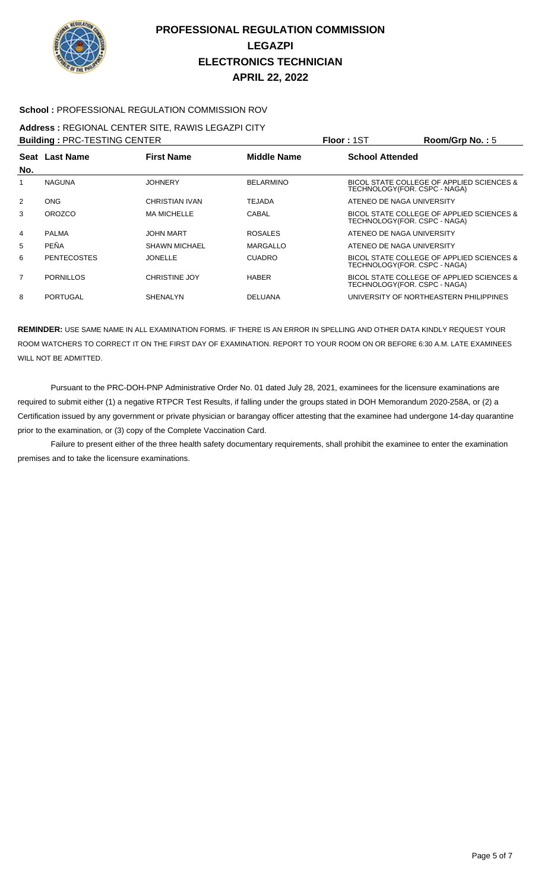

### **School :** PROFESSIONAL REGULATION COMMISSION ROV

### **Address :** REGIONAL CENTER SITE, RAWIS LEGAZPI CITY

**Building :** PRC-TESTING CENTER **Floor :** 1ST **Room/Grp No. :** 5

| No.            | Seat Last Name     | <b>First Name</b>    | <b>Middle Name</b> | <b>School Attended</b>                                                     |
|----------------|--------------------|----------------------|--------------------|----------------------------------------------------------------------------|
|                | <b>NAGUNA</b>      | <b>JOHNERY</b>       | <b>BELARMINO</b>   | BICOL STATE COLLEGE OF APPLIED SCIENCES &<br>TECHNOLOGY(FOR. CSPC - NAGA)  |
| 2              | <b>ONG</b>         | CHRISTIAN IVAN       | TEJADA             | ATENEO DE NAGA UNIVERSITY                                                  |
| 3              | <b>OROZCO</b>      | <b>MA MICHELLE</b>   | CABAL              | BICOL STATE COLLEGE OF APPLIED SCIENCES &<br>TECHNOLOGY (FOR. CSPC - NAGA) |
| 4              | <b>PALMA</b>       | <b>JOHN MART</b>     | <b>ROSALES</b>     | ATENEO DE NAGA UNIVERSITY                                                  |
| 5              | <b>PEÑA</b>        | <b>SHAWN MICHAEL</b> | MARGALLO           | ATENEO DE NAGA UNIVERSITY                                                  |
| 6              | <b>PENTECOSTES</b> | <b>JONELLE</b>       | <b>CUADRO</b>      | BICOL STATE COLLEGE OF APPLIED SCIENCES &<br>TECHNOLOGY (FOR. CSPC - NAGA) |
| $\overline{7}$ | <b>PORNILLOS</b>   | <b>CHRISTINE JOY</b> | <b>HABER</b>       | BICOL STATE COLLEGE OF APPLIED SCIENCES &<br>TECHNOLOGY(FOR. CSPC - NAGA)  |
| 8              | <b>PORTUGAL</b>    | <b>SHENALYN</b>      | <b>DELUANA</b>     | UNIVERSITY OF NORTHEASTERN PHILIPPINES                                     |
|                |                    |                      |                    |                                                                            |

**REMINDER:** USE SAME NAME IN ALL EXAMINATION FORMS. IF THERE IS AN ERROR IN SPELLING AND OTHER DATA KINDLY REQUEST YOUR ROOM WATCHERS TO CORRECT IT ON THE FIRST DAY OF EXAMINATION. REPORT TO YOUR ROOM ON OR BEFORE 6:30 A.M. LATE EXAMINEES WILL NOT BE ADMITTED.

 Pursuant to the PRC-DOH-PNP Administrative Order No. 01 dated July 28, 2021, examinees for the licensure examinations are required to submit either (1) a negative RTPCR Test Results, if falling under the groups stated in DOH Memorandum 2020-258A, or (2) a Certification issued by any government or private physician or barangay officer attesting that the examinee had undergone 14-day quarantine prior to the examination, or (3) copy of the Complete Vaccination Card.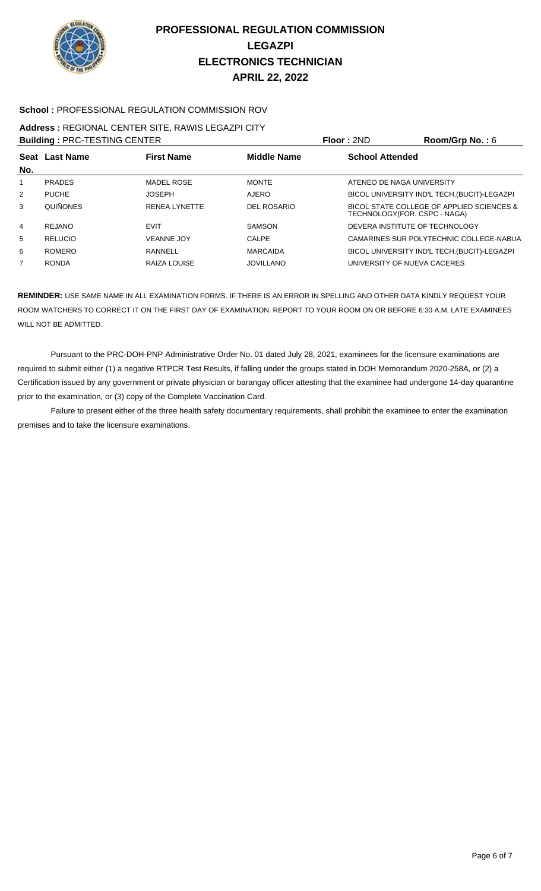

### **School :** PROFESSIONAL REGULATION COMMISSION ROV

### **Address :** REGIONAL CENTER SITE, RAWIS LEGAZPI CITY

|     | <b>Building: PRC-TESTING CENTER</b> |                      |                    | Floor: 2ND                     | Room/Grp No.: $6$                            |
|-----|-------------------------------------|----------------------|--------------------|--------------------------------|----------------------------------------------|
| No. | Seat Last Name                      | <b>First Name</b>    | <b>Middle Name</b> | <b>School Attended</b>         |                                              |
|     | <b>PRADES</b>                       | <b>MADEL ROSE</b>    | <b>MONTE</b>       | ATENEO DE NAGA UNIVERSITY      |                                              |
| 2   | <b>PUCHE</b>                        | <b>JOSEPH</b>        | <b>AJERO</b>       |                                | BICOL UNIVERSITY IND'L TECH. (BUCIT)-LEGAZPI |
| 3   | <b>QUIÑONES</b>                     | <b>RENEA LYNETTE</b> | DEL ROSARIO        | TECHNOLOGY(FOR. CSPC - NAGA)   | BICOL STATE COLLEGE OF APPLIED SCIENCES &    |
| 4   | REJANO                              | <b>EVIT</b>          | <b>SAMSON</b>      | DEVERA INSTITUTE OF TECHNOLOGY |                                              |
| 5   | <b>RELUCIO</b>                      | <b>VEANNE JOY</b>    | CALPE              |                                | CAMARINES SUR POLYTECHNIC COLLEGE-NABUA      |
| 6   | <b>ROMERO</b>                       | RANNELL              | <b>MARCAIDA</b>    |                                | BICOL UNIVERSITY IND'L TECH. (BUCIT)-LEGAZPI |
|     | <b>RONDA</b>                        | RAIZA LOUISE         | <b>JOVILLANO</b>   | UNIVERSITY OF NUEVA CACERES    |                                              |

**REMINDER:** USE SAME NAME IN ALL EXAMINATION FORMS. IF THERE IS AN ERROR IN SPELLING AND OTHER DATA KINDLY REQUEST YOUR ROOM WATCHERS TO CORRECT IT ON THE FIRST DAY OF EXAMINATION. REPORT TO YOUR ROOM ON OR BEFORE 6:30 A.M. LATE EXAMINEES WILL NOT BE ADMITTED.

 Pursuant to the PRC-DOH-PNP Administrative Order No. 01 dated July 28, 2021, examinees for the licensure examinations are required to submit either (1) a negative RTPCR Test Results, if falling under the groups stated in DOH Memorandum 2020-258A, or (2) a Certification issued by any government or private physician or barangay officer attesting that the examinee had undergone 14-day quarantine prior to the examination, or (3) copy of the Complete Vaccination Card.